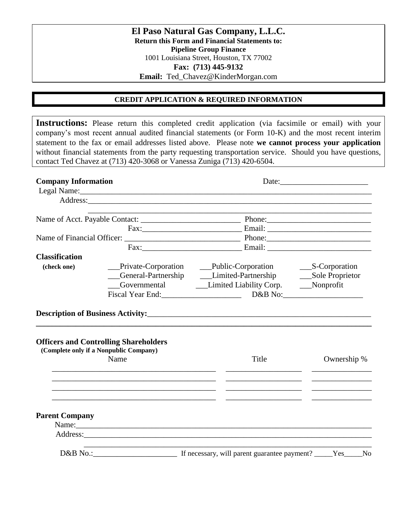**El Paso Natural Gas Company, L.L.C. Return this Form and Financial Statements to: Pipeline Group Finance** 1001 Louisiana Street, Houston, TX 77002 **Fax: (713) 445-9132 Email:** Ted\_Chavez@KinderMorgan.com

## **CREDIT APPLICATION & REQUIRED INFORMATION**

**Instructions:** Please return this completed credit application (via facsimile or email) with your company's most recent annual audited financial statements (or Form 10-K) and the most recent interim statement to the fax or email addresses listed above. Please note **we cannot process your application**  without financial statements from the party requesting transportation service. Should you have questions, contact Ted Chavez at (713) 420-3068 or Vanessa Zuniga (713) 420-6504.

| <b>Company Information</b><br>Legal Name: 1988 Manual Manual Manual Manual Manual Manual Manual Manual Manual Manual Manual Manual Manual Ma |                                                                                                                                                                                                                                      | Date:                                                                        |             |
|----------------------------------------------------------------------------------------------------------------------------------------------|--------------------------------------------------------------------------------------------------------------------------------------------------------------------------------------------------------------------------------------|------------------------------------------------------------------------------|-------------|
|                                                                                                                                              |                                                                                                                                                                                                                                      |                                                                              |             |
|                                                                                                                                              | the control of the control of the control of the control of the control of the control of                                                                                                                                            |                                                                              |             |
|                                                                                                                                              |                                                                                                                                                                                                                                      |                                                                              |             |
|                                                                                                                                              |                                                                                                                                                                                                                                      |                                                                              |             |
|                                                                                                                                              |                                                                                                                                                                                                                                      | Fax: Email: Email:                                                           |             |
| <b>Classification</b>                                                                                                                        |                                                                                                                                                                                                                                      |                                                                              |             |
| (check one)                                                                                                                                  |                                                                                                                                                                                                                                      |                                                                              |             |
|                                                                                                                                              |                                                                                                                                                                                                                                      | __General-Partnership _________Limited-Partnership __________Sole Proprietor |             |
|                                                                                                                                              |                                                                                                                                                                                                                                      |                                                                              |             |
|                                                                                                                                              |                                                                                                                                                                                                                                      | Fiscal Year End: D&B No: D&B No:                                             |             |
|                                                                                                                                              | <b>Officers and Controlling Shareholders</b><br>(Complete only if a Nonpublic Company)                                                                                                                                               |                                                                              |             |
|                                                                                                                                              | Name                                                                                                                                                                                                                                 | Title                                                                        |             |
|                                                                                                                                              |                                                                                                                                                                                                                                      |                                                                              | Ownership % |
|                                                                                                                                              |                                                                                                                                                                                                                                      |                                                                              |             |
|                                                                                                                                              |                                                                                                                                                                                                                                      |                                                                              |             |
|                                                                                                                                              |                                                                                                                                                                                                                                      |                                                                              |             |
|                                                                                                                                              |                                                                                                                                                                                                                                      |                                                                              |             |
| <b>Parent Company</b>                                                                                                                        |                                                                                                                                                                                                                                      |                                                                              |             |
|                                                                                                                                              |                                                                                                                                                                                                                                      |                                                                              |             |
|                                                                                                                                              |                                                                                                                                                                                                                                      |                                                                              |             |
|                                                                                                                                              |                                                                                                                                                                                                                                      |                                                                              |             |
|                                                                                                                                              | Address: <u>and the same of the same of the same of the same of the same of the same of the same of the same of the same of the same of the same of the same of the same of the same of the same of the same of the same of the </u> |                                                                              |             |